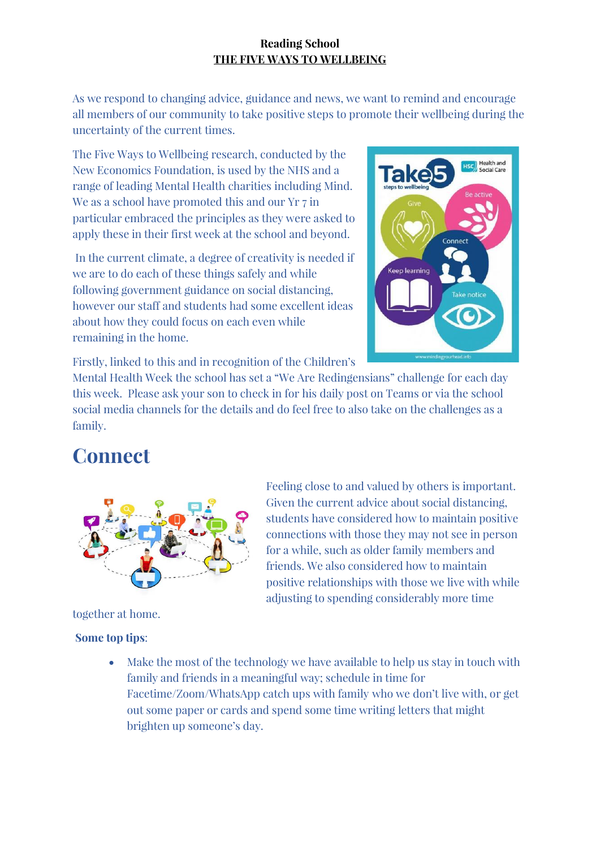As we respond to changing advice, guidance and news, we want to remind and encourage all members of our community to take positive steps to promote their wellbeing during the uncertainty of the current times.

The Five Ways to Wellbeing research, conducted by the New Economics Foundation, is used by the NHS and a range of leading Mental Health charities including Mind. We as a school have promoted this and our Yr 7 in particular embraced the principles as they were asked to apply these in their first week at the school and beyond.

In the current climate, a degree of creativity is needed if we are to do each of these things safely and while following government guidance on social distancing, however our staff and students had some excellent ideas about how they could focus on each even while remaining in the home.



Firstly, linked to this and in recognition of the Children's

Mental Health Week the school has set a "We Are Redingensians" challenge for each day this week. Please ask your son to check in for his daily post on Teams or via the school social media channels for the details and do feel free to also take on the challenges as a family.

### **Connect**



Feeling close to and valued by others is important. Given the current advice about social distancing, students have considered how to maintain positive connections with those they may not see in person for a while, such as older family members and friends. We also considered how to maintain positive relationships with those we live with while adjusting to spending considerably more time

together at home.

### **Some top tips**:

• Make the most of the technology we have available to help us stay in touch with family and friends in a meaningful way; schedule in time for Facetime/Zoom/WhatsApp catch ups with family who we don't live with, or get out some paper or cards and spend some time writing letters that might brighten up someone's day.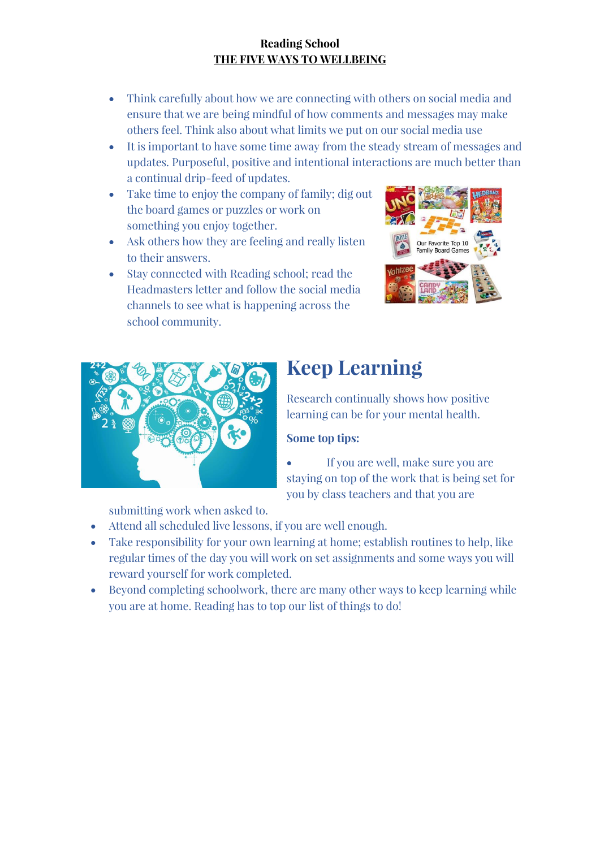- Think carefully about how we are connecting with others on social media and ensure that we are being mindful of how comments and messages may make others feel. Think also about what limits we put on our social media use
- It is important to have some time away from the steady stream of messages and updates. Purposeful, positive and intentional interactions are much better than a continual drip-feed of updates.
- Take time to enjoy the company of family; dig out the board games or puzzles or work on something you enjoy together.
- Ask others how they are feeling and really listen to their answers.
- Stay connected with Reading school; read the Headmasters letter and follow the social media channels to see what is happening across the school community.





# **Keep Learning**

Research continually shows how positive learning can be for your mental health.

### **Some top tips:**

• If you are well, make sure you are staying on top of the work that is being set for you by class teachers and that you are

submitting work when asked to.

- Attend all scheduled live lessons, if you are well enough.
- Take responsibility for your own learning at home; establish routines to help, like regular times of the day you will work on set assignments and some ways you will reward yourself for work completed.
- Beyond completing schoolwork, there are many other ways to keep learning while you are at home. Reading has to top our list of things to do!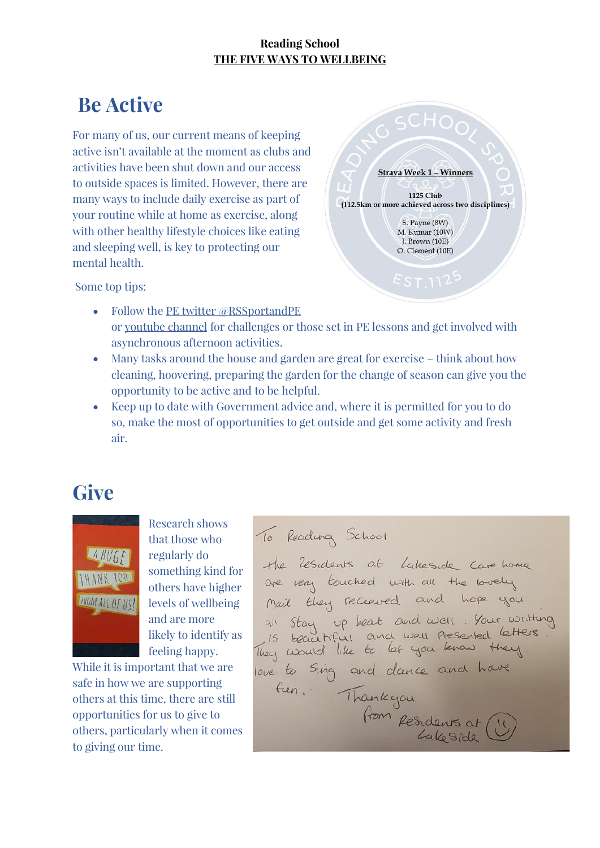## **Be Active**

For many of us, our current means of keeping active isn't available at the moment as clubs and activities have been shut down and our access to outside spaces is limited. However, there are many ways to include daily exercise as part of your routine while at home as exercise, along with other healthy lifestyle choices like eating and sleeping well, is key to protecting our mental health.



Some top tips:

- Follow the [PE twitter @RSSportandPE](https://twitter.com/RSSportandPE) or [youtube channel](https://www.youtube.com/watch?v=yIT4rcvaTpY&feature=youtu.be) for challenges or those set in PE lessons and get involved with asynchronous afternoon activities.
- Many tasks around the house and garden are great for exercise think about how cleaning, hoovering, preparing the garden for the change of season can give you the opportunity to be active and to be helpful.
- Keep up to date with Government advice and, where it is permitted for you to do so, make the most of opportunities to get outside and get some activity and fresh air.

### **Give**



Research shows that those who regularly do something kind for others have higher levels of wellbeing and are more likely to identify as feeling happy.

While it is important that we are safe in how we are supporting others at this time, there are still opportunities for us to give to others, particularly when it comes to giving our time.

To Reading School the Residents at Lakeside Care home<br>are very touched with all the lovely all Stay up beat and well. Your writting<br>Is beautiful and well presented letters. love to suiva me ce dance and have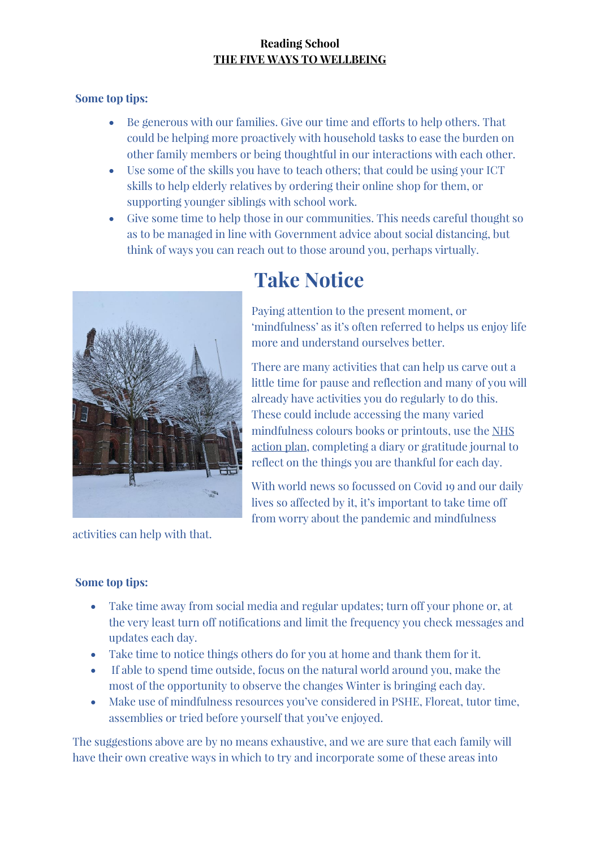### **Some top tips:**

- Be generous with our families. Give our time and efforts to help others. That could be helping more proactively with household tasks to ease the burden on other family members or being thoughtful in our interactions with each other.
- Use some of the skills you have to teach others; that could be using your ICT skills to help elderly relatives by ordering their online shop for them, or supporting younger siblings with school work.
- Give some time to help those in our communities. This needs careful thought so as to be managed in line with Government advice about social distancing, but think of ways you can reach out to those around you, perhaps virtually.



## **Take Notice**

Paying attention to the present moment, or 'mindfulness' as it's often referred to helps us enjoy life more and understand ourselves better.

There are many activities that can help us carve out a little time for pause and reflection and many of you will already have activities you do regularly to do this. These could include accessing the many varied mindfulness colours books or printouts, use the [NHS](https://www.nhs.uk/oneyou/every-mind-matters/your-mind-plan-quiz/?WT.tsrc=Paid_Social&WT.mc_id=EmpowerJan2021)  [action](https://www.nhs.uk/oneyou/every-mind-matters/your-mind-plan-quiz/?WT.tsrc=Paid_Social&WT.mc_id=EmpowerJan2021) plan, completing a diary or gratitude journal to reflect on the things you are thankful for each day.

With world news so focussed on Covid 19 and our daily lives so affected by it, it's important to take time off from worry about the pandemic and mindfulness

activities can help with that.

### **Some top tips:**

- Take time away from social media and regular updates; turn off your phone or, at the very least turn off notifications and limit the frequency you check messages and updates each day.
- Take time to notice things others do for you at home and thank them for it.
- If able to spend time outside, focus on the natural world around you, make the most of the opportunity to observe the changes Winter is bringing each day.
- Make use of mindfulness resources you've considered in PSHE, Floreat, tutor time, assemblies or tried before yourself that you've enjoyed.

The suggestions above are by no means exhaustive, and we are sure that each family will have their own creative ways in which to try and incorporate some of these areas into